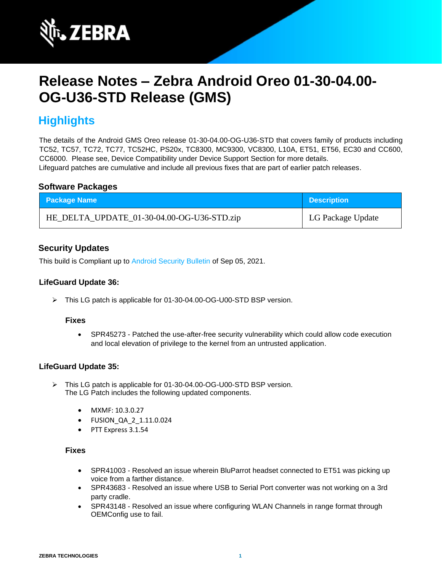

# **Release Notes – Zebra Android Oreo 01-30-04.00- OG-U36-STD Release (GMS)**

## **Highlights**

The details of the Android GMS Oreo release 01-30-04.00-OG-U36-STD that covers family of products including TC52, TC57, TC72, TC77, TC52HC, PS20x, TC8300, MC9300, VC8300, L10A, ET51, ET56, EC30 and CC600, CC6000. Please see, Device Compatibility under Device Support Section for more details. Lifeguard patches are cumulative and include all previous fixes that are part of earlier patch releases.

## **Software Packages**

| <b>Package Name</b>                        | <b>Description</b> |
|--------------------------------------------|--------------------|
| HE_DELTA_UPDATE_01-30-04.00-OG-U36-STD.zip | LG Package Update  |

## **Security Updates**

This build is Compliant up to [Android Security Bulletin](https://source.android.com/security/bulletin/) of Sep 05, 2021.

## **LifeGuard Update 36:**

➢ This LG patch is applicable for 01-30-04.00-OG-U00-STD BSP version.

## **Fixes**

• SPR45273 - Patched the use-after-free security vulnerability which could allow code execution and local elevation of privilege to the kernel from an untrusted application.

## **LifeGuard Update 35:**

- ➢ This LG patch is applicable for 01-30-04.00-OG-U00-STD BSP version. The LG Patch includes the following updated components.
	- MXMF: 10.3.0.27
	- FUSION\_QA\_2\_1.11.0.024
	- PTT Express 3.1.54

### **Fixes**

- SPR41003 Resolved an issue wherein BluParrot headset connected to ET51 was picking up voice from a farther distance.
- SPR43683 Resolved an issue where USB to Serial Port converter was not working on a 3rd party cradle.
- SPR43148 Resolved an issue where configuring WLAN Channels in range format through OEMConfig use to fail.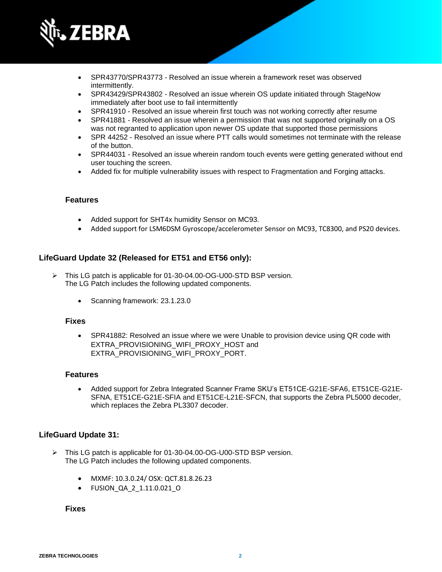

- SPR43770/SPR43773 Resolved an issue wherein a framework reset was observed intermittently.
- SPR43429/SPR43802 Resolved an issue wherein OS update initiated through StageNow immediately after boot use to fail intermittently
- SPR41910 Resolved an issue wherein first touch was not working correctly after resume
- SPR41881 Resolved an issue wherein a permission that was not supported originally on a OS was not regranted to application upon newer OS update that supported those permissions
- SPR 44252 Resolved an issue where PTT calls would sometimes not terminate with the release of the button.
- SPR44031 Resolved an issue wherein random touch events were getting generated without end user touching the screen.
- Added fix for multiple vulnerability issues with respect to Fragmentation and Forging attacks.

### **Features**

- Added support for SHT4x humidity Sensor on MC93.
- Added support for LSM6DSM Gyroscope/accelerometer Sensor on MC93, TC8300, and PS20 devices.

## **LifeGuard Update 32 (Released for ET51 and ET56 only):**

- ➢ This LG patch is applicable for 01-30-04.00-OG-U00-STD BSP version. The LG Patch includes the following updated components.
	- Scanning framework: 23.1.23.0

#### **Fixes**

• SPR41882: Resolved an issue where we were Unable to provision device using QR code with EXTRA\_PROVISIONING\_WIFI\_PROXY\_HOST and EXTRA\_PROVISIONING\_WIFI\_PROXY\_PORT.

#### **Features**

• Added support for Zebra Integrated Scanner Frame SKU's ET51CE-G21E-SFA6, ET51CE-G21E-SFNA, ET51CE-G21E-SFIA and ET51CE-L21E-SFCN, that supports the Zebra PL5000 decoder, which replaces the Zebra PL3307 decoder.

#### **LifeGuard Update 31:**

- ➢ This LG patch is applicable for 01-30-04.00-OG-U00-STD BSP version. The LG Patch includes the following updated components.
	- MXMF: 10.3.0.24/ OSX: QCT.81.8.26.23
	- FUSION\_QA\_2\_1.11.0.021\_O

#### **Fixes**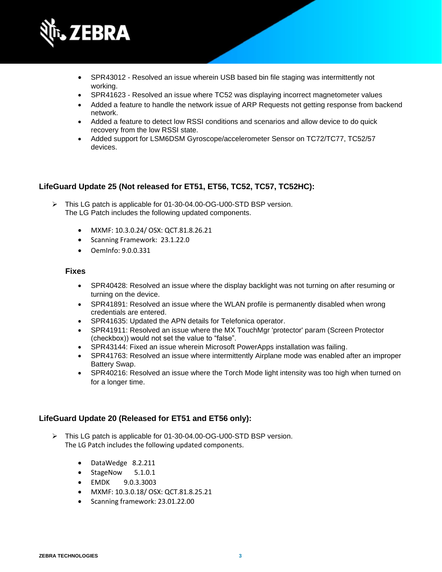

- SPR43012 Resolved an issue wherein USB based bin file staging was intermittently not working.
- SPR41623 Resolved an issue where TC52 was displaying incorrect magnetometer values
- Added a feature to handle the network issue of ARP Requests not getting response from backend network.
- Added a feature to detect low RSSI conditions and scenarios and allow device to do quick recovery from the low RSSI state.
- Added support for LSM6DSM Gyroscope/accelerometer Sensor on TC72/TC77, TC52/57 devices.

## **LifeGuard Update 25 (Not released for ET51, ET56, TC52, TC57, TC52HC):**

- ➢ This LG patch is applicable for 01-30-04.00-OG-U00-STD BSP version. The LG Patch includes the following updated components.
	- MXMF: 10.3.0.24/ OSX: QCT.81.8.26.21
	- Scanning Framework: 23.1.22.0
	- OemInfo: 9.0.0.331

#### **Fixes**

- SPR40428: Resolved an issue where the display backlight was not turning on after resuming or turning on the device.
- SPR41891: Resolved an issue where the WLAN profile is permanently disabled when wrong credentials are entered.
- SPR41635: Updated the APN details for Telefonica operator.
- SPR41911: Resolved an issue where the MX TouchMgr 'protector' param (Screen Protector (checkbox)) would not set the value to "false".
- SPR43144: Fixed an issue wherein Microsoft PowerApps installation was failing.
- SPR41763: Resolved an issue where intermittently Airplane mode was enabled after an improper Battery Swap.
- SPR40216: Resolved an issue where the Torch Mode light intensity was too high when turned on for a longer time.

## **LifeGuard Update 20 (Released for ET51 and ET56 only):**

- ➢ This LG patch is applicable for 01-30-04.00-OG-U00-STD BSP version. The LG Patch includes the following updated components.
	- DataWedge 8.2.211
	- StageNow 5.1.0.1
	- EMDK 9.0.3.3003
	- MXMF: 10.3.0.18/ OSX: QCT.81.8.25.21
	- Scanning framework: 23.01.22.00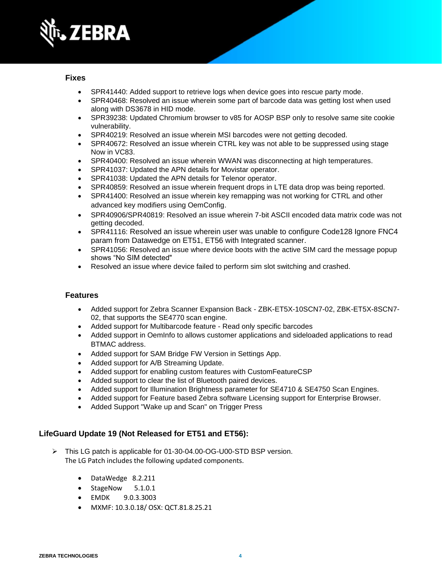

- SPR41440: Added support to retrieve logs when device goes into rescue party mode.
- SPR40468: Resolved an issue wherein some part of barcode data was getting lost when used along with DS3678 in HID mode.
- SPR39238: Updated Chromium browser to v85 for AOSP BSP only to resolve same site cookie vulnerability.
- SPR40219: Resolved an issue wherein MSI barcodes were not getting decoded.
- SPR40672: Resolved an issue wherein CTRL key was not able to be suppressed using stage Now in VC83.
- SPR40400: Resolved an issue wherein WWAN was disconnecting at high temperatures.
- SPR41037: Updated the APN details for Movistar operator.
- SPR41038: Updated the APN details for Telenor operator.
- SPR40859: Resolved an issue wherein frequent drops in LTE data drop was being reported.
- SPR41400: Resolved an issue wherein key remapping was not working for CTRL and other advanced key modifiers using OemConfig.
- SPR40906/SPR40819: Resolved an issue wherein 7-bit ASCII encoded data matrix code was not getting decoded.
- SPR41116: Resolved an issue wherein user was unable to configure Code128 Ignore FNC4 param from Datawedge on ET51, ET56 with Integrated scanner.
- SPR41056: Resolved an issue where device boots with the active SIM card the message popup shows "No SIM detected"
- Resolved an issue where device failed to perform sim slot switching and crashed.

## **Features**

- Added support for Zebra Scanner Expansion Back ZBK-ET5X-10SCN7-02, ZBK-ET5X-8SCN7- 02, that supports the SE4770 scan engine.
- Added support for Multibarcode feature Read only specific barcodes
- Added support in OemInfo to allows customer applications and sideloaded applications to read BTMAC address.
- Added support for SAM Bridge FW Version in Settings App.
- Added support for A/B Streaming Update.
- Added support for enabling custom features with CustomFeatureCSP
- Added support to clear the list of Bluetooth paired devices.
- Added support for Illumination Brightness parameter for SE4710 & SE4750 Scan Engines.
- Added support for Feature based Zebra software Licensing support for Enterprise Browser.
- Added Support "Wake up and Scan" on Trigger Press

## **LifeGuard Update 19 (Not Released for ET51 and ET56):**

- ➢ This LG patch is applicable for 01-30-04.00-OG-U00-STD BSP version. The LG Patch includes the following updated components.
	- DataWedge 8.2.211
	- StageNow 5.1.0.1
	- EMDK 9.0.3.3003
	- MXMF: 10.3.0.18/ OSX: QCT.81.8.25.21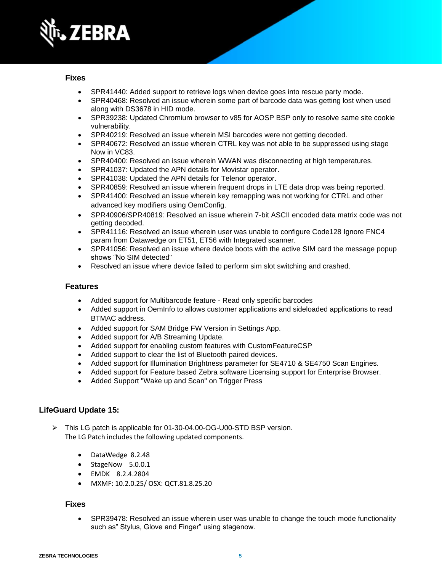

- SPR41440: Added support to retrieve logs when device goes into rescue party mode.
- SPR40468: Resolved an issue wherein some part of barcode data was getting lost when used along with DS3678 in HID mode.
- SPR39238: Updated Chromium browser to v85 for AOSP BSP only to resolve same site cookie vulnerability.
- SPR40219: Resolved an issue wherein MSI barcodes were not getting decoded.
- SPR40672: Resolved an issue wherein CTRL key was not able to be suppressed using stage Now in VC83.
- SPR40400: Resolved an issue wherein WWAN was disconnecting at high temperatures.
- SPR41037: Updated the APN details for Movistar operator.
- SPR41038: Updated the APN details for Telenor operator.
- SPR40859: Resolved an issue wherein frequent drops in LTE data drop was being reported.
- SPR41400: Resolved an issue wherein key remapping was not working for CTRL and other advanced key modifiers using OemConfig.
- SPR40906/SPR40819: Resolved an issue wherein 7-bit ASCII encoded data matrix code was not getting decoded.
- SPR41116: Resolved an issue wherein user was unable to configure Code128 Ignore FNC4 param from Datawedge on ET51, ET56 with Integrated scanner.
- SPR41056: Resolved an issue where device boots with the active SIM card the message popup shows "No SIM detected"
- Resolved an issue where device failed to perform sim slot switching and crashed.

### **Features**

- Added support for Multibarcode feature Read only specific barcodes
- Added support in OemInfo to allows customer applications and sideloaded applications to read BTMAC address.
- Added support for SAM Bridge FW Version in Settings App.
- Added support for A/B Streaming Update.
- Added support for enabling custom features with CustomFeatureCSP
- Added support to clear the list of Bluetooth paired devices.
- Added support for Illumination Brightness parameter for SE4710 & SE4750 Scan Engines.
- Added support for Feature based Zebra software Licensing support for Enterprise Browser.
- Added Support "Wake up and Scan" on Trigger Press

## **LifeGuard Update 15:**

- ➢ This LG patch is applicable for 01-30-04.00-OG-U00-STD BSP version. The LG Patch includes the following updated components.
	- DataWedge 8.2.48
	- StageNow 5.0.0.1
	- EMDK 8.2.4.2804
	- MXMF: 10.2.0.25/ OSX: QCT.81.8.25.20

### **Fixes**

• SPR39478: Resolved an issue wherein user was unable to change the touch mode functionality such as" Stylus, Glove and Finger" using stagenow.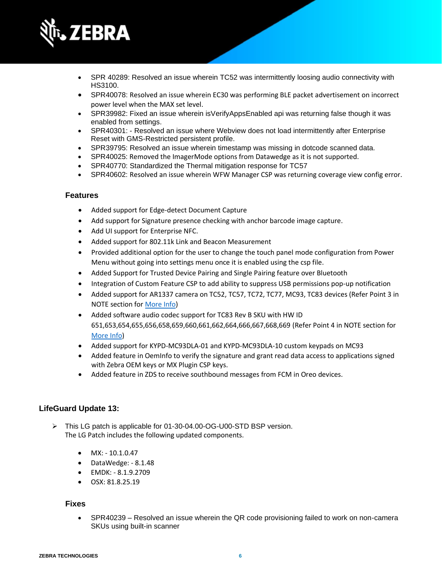

- SPR 40289: Resolved an issue wherein TC52 was intermittently loosing audio connectivity with HS3100.
- SPR40078: Resolved an issue wherein EC30 was performing BLE packet advertisement on incorrect power level when the MAX set level.
- SPR39982: Fixed an issue wherein isVerifyAppsEnabled api was returning false though it was enabled from settings.
- SPR40301: Resolved an issue where Webview does not load intermittently after Enterprise Reset with GMS-Restricted persistent profile.
- SPR39795: Resolved an issue wherein timestamp was missing in dotcode scanned data.
- SPR40025: Removed the ImagerMode options from Datawedge as it is not supported.
- SPR40770: Standardized the Thermal mitigation response for TC57
- SPR40602: Resolved an issue wherein WFW Manager CSP was returning coverage view config error.

## **Features**

- Added support for Edge-detect Document Capture
- Add support for Signature presence checking with anchor barcode image capture.
- Add UI support for Enterprise NFC.
- Added support for 802.11k Link and Beacon Measurement
- Provided additional option for the user to change the touch panel mode configuration from Power Menu without going into settings menu once it is enabled using the csp file.
- Added Support for Trusted Device Pairing and Single Pairing feature over Bluetooth
- Integration of Custom Feature CSP to add ability to suppress USB permissions pop-up notification
- Added support for AR1337 camera on TC52, TC57, TC72, TC77, MC93, TC83 devices (Refer Point 3 in NOTE section for More Info)
- Added software audio codec support for TC83 Rev B SKU with HW ID 651,653,654,655,656,658,659,660,661,662,664,666,667,668,669 (Refer Point 4 in NOTE section for More Info)
- Added support for KYPD-MC93DLA-01 and KYPD-MC93DLA-10 custom keypads on MC93
- Added feature in OemInfo to verify the signature and grant read data access to applications signed with Zebra OEM keys or MX Plugin CSP keys.
- Added feature in ZDS to receive southbound messages from FCM in Oreo devices.

## **LifeGuard Update 13:**

- ➢ This LG patch is applicable for 01-30-04.00-OG-U00-STD BSP version. The LG Patch includes the following updated components.
	- MX: 10.1.0.47
	- DataWedge: 8.1.48
	- EMDK: 8.1.9.2709
	- OSX: 81.8.25.19

#### **Fixes**

• SPR40239 – Resolved an issue wherein the QR code provisioning failed to work on non-camera SKUs using built-in scanner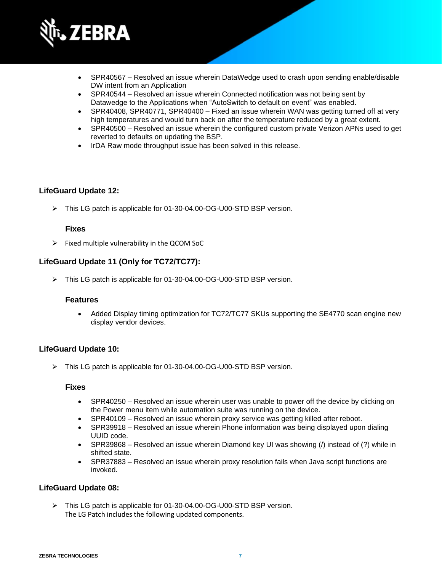

- SPR40567 Resolved an issue wherein DataWedge used to crash upon sending enable/disable DW intent from an Application
- SPR40544 Resolved an issue wherein Connected notification was not being sent by Datawedge to the Applications when "AutoSwitch to default on event" was enabled.
- SPR40408, SPR40771, SPR40400 Fixed an issue wherein WAN was getting turned off at very high temperatures and would turn back on after the temperature reduced by a great extent.
- SPR40500 Resolved an issue wherein the configured custom private Verizon APNs used to get reverted to defaults on updating the BSP.
- IrDA Raw mode throughput issue has been solved in this release.

## **LifeGuard Update 12:**

➢ This LG patch is applicable for 01-30-04.00-OG-U00-STD BSP version.

## **Fixes**

 $\triangleright$  Fixed multiple vulnerability in the QCOM SoC

## **LifeGuard Update 11 (Only for TC72/TC77):**

➢ This LG patch is applicable for 01-30-04.00-OG-U00-STD BSP version.

#### **Features**

• Added Display timing optimization for TC72/TC77 SKUs supporting the SE4770 scan engine new display vendor devices.

## **LifeGuard Update 10:**

➢ This LG patch is applicable for 01-30-04.00-OG-U00-STD BSP version.

#### **Fixes**

- SPR40250 Resolved an issue wherein user was unable to power off the device by clicking on the Power menu item while automation suite was running on the device.
- SPR40109 Resolved an issue wherein proxy service was getting killed after reboot.
- SPR39918 Resolved an issue wherein Phone information was being displayed upon dialing UUID code.
- SPR39868 Resolved an issue wherein Diamond key UI was showing (*/*) instead of (?) while in shifted state.
- SPR37883 Resolved an issue wherein proxy resolution fails when Java script functions are invoked.

## **LifeGuard Update 08:**

➢ This LG patch is applicable for 01-30-04.00-OG-U00-STD BSP version. The LG Patch includes the following updated components.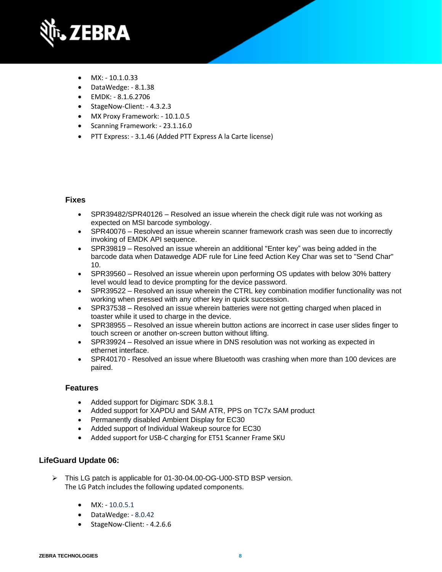

- $MX: -10.1.0.33$
- DataWedge: 8.1.38
- EMDK: 8.1.6.2706
- StageNow-Client: 4.3.2.3
- MX Proxy Framework: 10.1.0.5
- Scanning Framework: 23.1.16.0
- PTT Express: 3.1.46 (Added PTT Express A la Carte license)

- SPR39482/SPR40126 Resolved an issue wherein the check digit rule was not working as expected on MSI barcode symbology.
- SPR40076 Resolved an issue wherein scanner framework crash was seen due to incorrectly invoking of EMDK API sequence.
- SPR39819 Resolved an issue wherein an additional "Enter key" was being added in the barcode data when Datawedge ADF rule for Line feed Action Key Char was set to "Send Char" 10.
- SPR39560 Resolved an issue wherein upon performing OS updates with below 30% battery level would lead to device prompting for the device password.
- SPR39522 Resolved an issue wherein the CTRL key combination modifier functionality was not working when pressed with any other key in quick succession.
- SPR37538 Resolved an issue wherein batteries were not getting charged when placed in toaster while it used to charge in the device.
- SPR38955 Resolved an issue wherein button actions are incorrect in case user slides finger to touch screen or another on-screen button without lifting.
- SPR39924 Resolved an issue where in DNS resolution was not working as expected in ethernet interface.
- SPR40170 Resolved an issue where Bluetooth was crashing when more than 100 devices are paired.

## **Features**

- Added support for Digimarc SDK 3.8.1
- Added support for XAPDU and SAM ATR, PPS on TC7x SAM product
- Permanently disabled Ambient Display for EC30
- Added support of Individual Wakeup source for EC30
- Added support for USB-C charging for ET51 Scanner Frame SKU

## **LifeGuard Update 06:**

- ➢ This LG patch is applicable for 01-30-04.00-OG-U00-STD BSP version. The LG Patch includes the following updated components.
	- $MX: -10.0.5.1$
	- DataWedge: 8.0.42
	- StageNow-Client: 4.2.6.6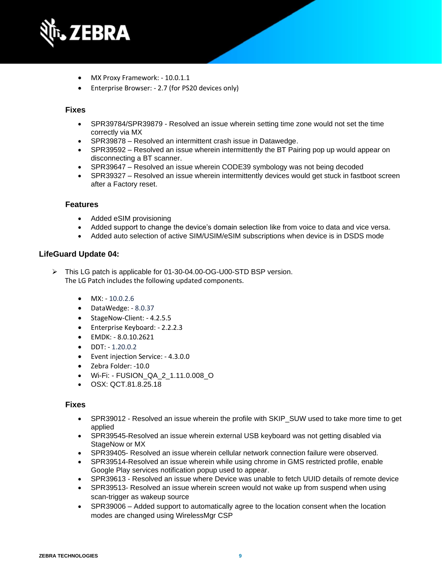

- MX Proxy Framework: 10.0.1.1
- Enterprise Browser: 2.7 (for PS20 devices only)

- SPR39784/SPR39879 Resolved an issue wherein setting time zone would not set the time correctly via MX
- SPR39878 Resolved an intermittent crash issue in Datawedge.
- SPR39592 Resolved an issue wherein intermittently the BT Pairing pop up would appear on disconnecting a BT scanner.
- SPR39647 Resolved an issue wherein CODE39 symbology was not being decoded
- SPR39327 Resolved an issue wherein intermittently devices would get stuck in fastboot screen after a Factory reset.

### **Features**

- Added eSIM provisioning
- Added support to change the device's domain selection like from voice to data and vice versa.
- Added auto selection of active SIM/USIM/eSIM subscriptions when device is in DSDS mode

### **LifeGuard Update 04:**

➢ This LG patch is applicable for 01-30-04.00-OG-U00-STD BSP version. The LG Patch includes the following updated components.

- $\bullet$  MX: 10.0.2.6
- DataWedge: 8.0.37
- StageNow-Client: 4.2.5.5
- Enterprise Keyboard: 2.2.2.3
- EMDK: 8.0.10.2621
- DDT: 1.20.0.2
- Event injection Service: 4.3.0.0
- Zebra Folder: -10.0
- Wi-Fi: FUSION\_QA\_2\_1.11.0.008\_O
- OSX: QCT.81.8.25.18

#### **Fixes**

- SPR39012 Resolved an issue wherein the profile with SKIP\_SUW used to take more time to get applied
- SPR39545-Resolved an issue wherein external USB keyboard was not getting disabled via StageNow or MX
- SPR39405- Resolved an issue wherein cellular network connection failure were observed.
- SPR39514-Resolved an issue wherein while using chrome in GMS restricted profile, enable Google Play services notification popup used to appear.
- SPR39613 Resolved an issue where Device was unable to fetch UUID details of remote device
- SPR39513- Resolved an issue wherein screen would not wake up from suspend when using scan-trigger as wakeup source
- SPR39006 Added support to automatically agree to the location consent when the location modes are changed using WirelessMgr CSP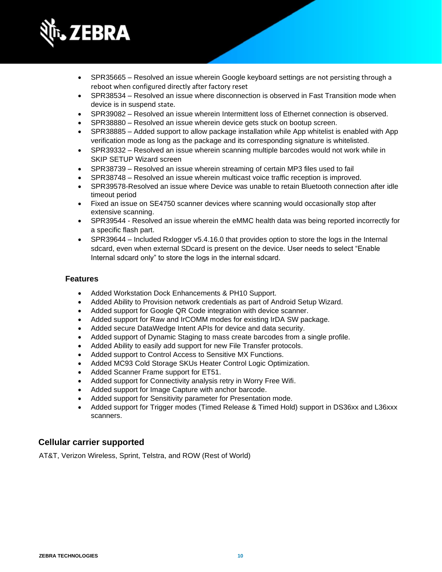

- SPR35665 Resolved an issue wherein Google keyboard settings are not persisting through a reboot when configured directly after factory reset
- SPR38534 Resolved an issue where disconnection is observed in Fast Transition mode when device is in suspend state.
- SPR39082 Resolved an issue wherein Intermittent loss of Ethernet connection is observed.
- SPR38880 Resolved an issue wherein device gets stuck on bootup screen.
- SPR38885 Added support to allow package installation while App whitelist is enabled with App verification mode as long as the package and its corresponding signature is whitelisted.
- SPR39332 Resolved an issue wherein scanning multiple barcodes would not work while in SKIP SETUP Wizard screen
- SPR38739 Resolved an issue wherein streaming of certain MP3 files used to fail
- SPR38748 Resolved an issue wherein multicast voice traffic reception is improved.
- SPR39578-Resolved an issue where Device was unable to retain Bluetooth connection after idle timeout period
- Fixed an issue on SE4750 scanner devices where scanning would occasionally stop after extensive scanning.
- SPR39544 Resolved an issue wherein the eMMC health data was being reported incorrectly for a specific flash part.
- SPR39644 Included Rxlogger v5.4.16.0 that provides option to store the logs in the Internal sdcard, even when external SDcard is present on the device. User needs to select "Enable Internal sdcard only" to store the logs in the internal sdcard.

## **Features**

- Added Workstation Dock Enhancements & PH10 Support.
- Added Ability to Provision network credentials as part of Android Setup Wizard.
- Added support for Google QR Code integration with device scanner.
- Added support for Raw and IrCOMM modes for existing IrDA SW package.
- Added secure DataWedge Intent APIs for device and data security.
- Added support of Dynamic Staging to mass create barcodes from a single profile.
- Added Ability to easily add support for new File Transfer protocols.
- Added support to Control Access to Sensitive MX Functions.
- Added MC93 Cold Storage SKUs Heater Control Logic Optimization.
- Added Scanner Frame support for ET51.
- Added support for Connectivity analysis retry in Worry Free Wifi.
- Added support for Image Capture with anchor barcode.
- Added support for Sensitivity parameter for Presentation mode.
- Added support for Trigger modes (Timed Release & Timed Hold) support in DS36xx and L36xxx scanners.

## **Cellular carrier supported**

AT&T, Verizon Wireless, Sprint, Telstra, and ROW (Rest of World)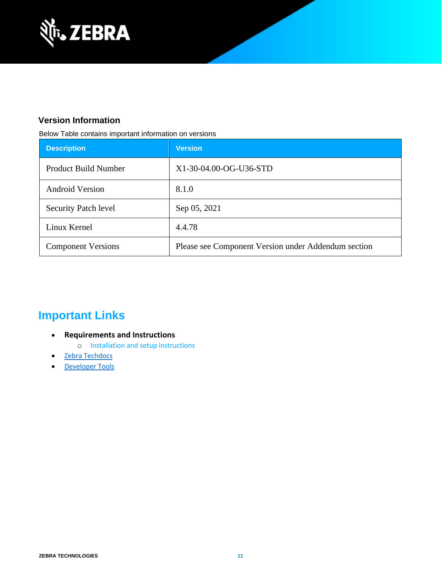

## **Version Information**

Below Table contains important information on versions

| <b>Description</b>          | <b>Version</b>                                      |
|-----------------------------|-----------------------------------------------------|
| <b>Product Build Number</b> | X1-30-04.00-OG-U36-STD                              |
| <b>Android Version</b>      | 8.1.0                                               |
| <b>Security Patch level</b> | Sep 05, 2021                                        |
| Linux Kernel                | 4.4.78                                              |
| <b>Component Versions</b>   | Please see Component Version under Addendum section |

## **Important Links**

- **Requirements and Instructions** 
	- o [Installation and setup instructions](https://www.zebra.com/content/dam/zebra_new_ia/en-us/software/operating-system/helios/oreo-os-update-instructions.pdf)
- [Zebra Techdocs](https://techdocs.zebra.com/)
- [Developer Tools](https://developer.zebra.com/)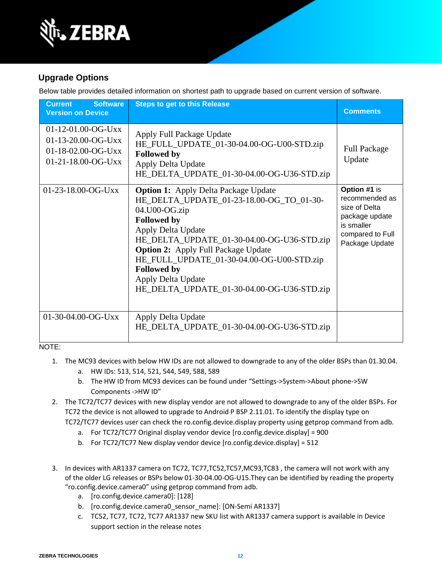

## **Upgrade Options**

Below table provides detailed information on shortest path to upgrade based on current version of software.

| <b>Software</b><br><b>Current</b><br><b>Version on Device</b>                            | <b>Steps to get to this Release</b>                                                                                                                                                                                                                                                                                                                                                     | <b>Comments</b>                                                                                                       |
|------------------------------------------------------------------------------------------|-----------------------------------------------------------------------------------------------------------------------------------------------------------------------------------------------------------------------------------------------------------------------------------------------------------------------------------------------------------------------------------------|-----------------------------------------------------------------------------------------------------------------------|
| $01-12-01.00-OG-Uxx$<br>$01-13-20.00-OG-Uxx$<br>01-18-02.00-OG-Uxx<br>01-21-18.00-OG-Uxx | Apply Full Package Update<br>HE_FULL_UPDATE_01-30-04.00-OG-U00-STD.zip<br><b>Followed by</b><br>Apply Delta Update<br>HE_DELTA_UPDATE_01-30-04.00-OG-U36-STD.zip                                                                                                                                                                                                                        | <b>Full Package</b><br>Update                                                                                         |
| 01-23-18.00-OG-Uxx                                                                       | <b>Option 1:</b> Apply Delta Package Update<br>HE_DELTA_UPDATE_01-23-18.00-OG_TO_01-30-<br>04.U00-OG.zip<br><b>Followed by</b><br>Apply Delta Update<br>HE_DELTA_UPDATE_01-30-04.00-OG-U36-STD.zip<br><b>Option 2:</b> Apply Full Package Update<br>HE_FULL_UPDATE_01-30-04.00-OG-U00-STD.zip<br><b>Followed by</b><br>Apply Delta Update<br>HE_DELTA_UPDATE_01-30-04.00-OG-U36-STD.zip | Option #1 is<br>recommended as<br>size of Delta<br>package update<br>is smaller<br>compared to Full<br>Package Update |
| 01-30-04.00-OG-Uxx                                                                       | Apply Delta Update<br>HE_DELTA_UPDATE_01-30-04.00-OG-U36-STD.zip                                                                                                                                                                                                                                                                                                                        |                                                                                                                       |

NOTE:

- 1. The MC93 devices with below HW IDs are not allowed to downgrade to any of the older BSPs than 01.30.04.
	- a. HW IDs: 513, 514, 521, 544, 549, 588, 589
	- b. The HW ID from MC93 devices can be found under "Settings->System->About phone->SW Components ->HW ID"
- 2. The TC72/TC77 devices with new display vendor are not allowed to downgrade to any of the older BSPs. For TC72 the device is not allowed to upgrade to Android P BSP 2.11.01. To identify the display type on TC72/TC77 devices user can check the ro.config.device.display property using getprop command from adb.
	- a. For TC72/TC77 Original display vendor device [ro.config.device.display] = 900
	- b. For TC72/TC77 New display vendor device [ro.config.device.display] = 512
- 3. In devices with AR1337 camera on TC72, TC77,TC52,TC57,MC93,TC83 , the camera will not work with any of the older LG releases or BSPs below 01-30-04.00-OG-U15.They can be identified by reading the property "ro.config.device.camera0" using getprop command from adb.
	- a. [ro.config.device.camera0]: [128]
	- b. [ro.config.device.camera0\_sensor\_name]: [ON-Semi AR1337]
	- c. TC52, TC77, TC72, TC77 AR1337 new SKU list with AR1337 camera support is available in Device support section in the release notes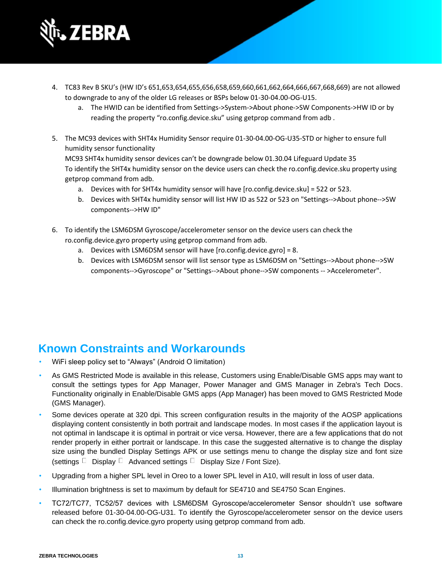

- 4. TC83 Rev B SKU's (HW ID's 651,653,654,655,656,658,659,660,661,662,664,666,667,668,669) are not allowed to downgrade to any of the older LG releases or BSPs below 01-30-04.00-OG-U15.
	- a. The HWID can be identified from Settings->System->About phone->SW Components->HW ID or by reading the property "ro.config.device.sku" using getprop command from adb .
- 5. The MC93 devices with SHT4x Humidity Sensor require 01-30-04.00-OG-U35-STD or higher to ensure full humidity sensor functionality

MC93 SHT4x humidity sensor devices can't be downgrade below 01.30.04 Lifeguard Update 35 To identify the SHT4x humidity sensor on the device users can check the ro.config.device.sku property using getprop command from adb.

- a. Devices with for SHT4x humidity sensor will have [ro.config.device.sku] = 522 or 523.
- b. Devices with SHT4x humidity sensor will list HW ID as 522 or 523 on "Settings-->About phone-->SW components-->HW ID"
- 6. To identify the LSM6DSM Gyroscope/accelerometer sensor on the device users can check the ro.config.device.gyro property using getprop command from adb.
	- a. Devices with LSM6DSM sensor will have [ro.config.device.gyro] = 8.
	- b. Devices with LSM6DSM sensor will list sensor type as LSM6DSM on "Settings-->About phone-->SW components-->Gyroscope" or "Settings-->About phone-->SW components -- >Accelerometer".

## **Known Constraints and Workarounds**

- WiFi sleep policy set to "Always" (Android O limitation)
- As GMS Restricted Mode is available in this release, Customers using Enable/Disable GMS apps may want to consult the settings types for App Manager, Power Manager and GMS Manager in Zebra's Tech Docs. Functionality originally in Enable/Disable GMS apps (App Manager) has been moved to GMS Restricted Mode (GMS Manager).
- Some devices operate at 320 dpi. This screen configuration results in the majority of the AOSP applications displaying content consistently in both portrait and landscape modes. In most cases if the application layout is not optimal in landscape it is optimal in portrait or vice versa. However, there are a few applications that do not render properly in either portrait or landscape. In this case the suggested alternative is to change the display size using the bundled Display Settings APK or use settings menu to change the display size and font size (settings  $\Box$  Display  $\Box$  Advanced settings  $\Box$  Display Size / Font Size).
- Upgrading from a higher SPL level in Oreo to a lower SPL level in A10, will result in loss of user data.
- Illumination brightness is set to maximum by default for SE4710 and SE4750 Scan Engines.
- TC72/TC77, TC52/57 devices with LSM6DSM Gyroscope/accelerometer Sensor shouldn't use software released before 01-30-04.00-OG-U31. To identify the Gyroscope/accelerometer sensor on the device users can check the ro.config.device.gyro property using getprop command from adb.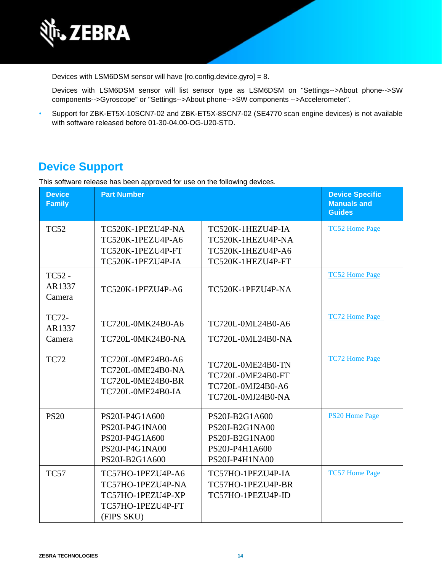

Devices with LSM6DSM sensor will have [ro.config.device.gyro] = 8.

Devices with LSM6DSM sensor will list sensor type as LSM6DSM on "Settings-->About phone-->SW components-->Gyroscope" or "Settings-->About phone-->SW components -->Accelerometer".

• Support for ZBK-ET5X-10SCN7-02 and ZBK-ET5X-8SCN7-02 (SE4770 scan engine devices) is not available with software released before 01-30-04.00-OG-U20-STD.

## **Device Support**

This software release has been approved for use on the following devices.

| <b>Device</b><br><b>Family</b>    | <b>Part Number</b>                                                                             |                                                                                        | <b>Device Specific</b><br><b>Manuals and</b><br><b>Guides</b> |
|-----------------------------------|------------------------------------------------------------------------------------------------|----------------------------------------------------------------------------------------|---------------------------------------------------------------|
| <b>TC52</b>                       | TC520K-1PEZU4P-NA<br>TC520K-1PEZU4P-A6<br>TC520K-1PEZU4P-FT<br>TC520K-1PEZU4P-IA               | TC520K-1HEZU4P-IA<br>TC520K-1HEZU4P-NA<br>TC520K-1HEZU4P-A6<br>TC520K-1HEZU4P-FT       | <b>TC52 Home Page</b>                                         |
| <b>TC52 -</b><br>AR1337<br>Camera | TC520K-1PFZU4P-A6                                                                              | TC520K-1PFZU4P-NA                                                                      | <b>TC52 Home Page</b>                                         |
| TC72-<br>AR1337<br>Camera         | TC720L-0MK24B0-A6<br>TC720L-0MK24B0-NA                                                         | TC720L-0ML24B0-A6<br>TC720L-0ML24B0-NA                                                 | <b>TC72 Home Page</b>                                         |
| <b>TC72</b>                       | TC720L-0ME24B0-A6<br>TC720L-0ME24B0-NA<br>TC720L-0ME24B0-BR<br>TC720L-0ME24B0-IA               | TC720L-0ME24B0-TN<br>TC720L-0ME24B0-FT<br>TC720L-0MJ24B0-A6<br>TC720L-0MJ24B0-NA       | <b>TC72 Home Page</b>                                         |
| <b>PS20</b>                       | PS20J-P4G1A600<br>PS20J-P4G1NA00<br>PS20J-P4G1A600<br>PS20J-P4G1NA00<br>PS20J-B2G1A600         | PS20J-B2G1A600<br>PS20J-B2G1NA00<br>PS20J-B2G1NA00<br>PS20J-P4H1A600<br>PS20J-P4H1NA00 | <b>PS20 Home Page</b>                                         |
| <b>TC57</b>                       | TC57HO-1PEZU4P-A6<br>TC57HO-1PEZU4P-NA<br>TC57HO-1PEZU4P-XP<br>TC57HO-1PEZU4P-FT<br>(FIPS SKU) | TC57HO-1PEZU4P-IA<br>TC57HO-1PEZU4P-BR<br>TC57HO-1PEZU4P-ID                            | <b>TC57 Home Page</b>                                         |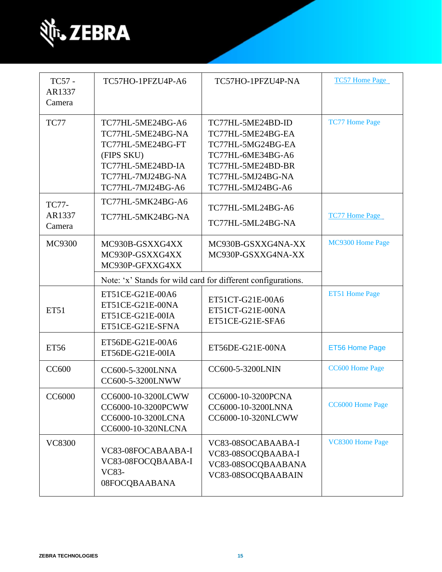

| TC57 -<br>AR1337<br>Camera       | TC57HO-1PFZU4P-A6                                                                                                                        | TC57HO-1PFZU4P-NA                                                                                                                               | <b>TC57 Home Page</b>  |
|----------------------------------|------------------------------------------------------------------------------------------------------------------------------------------|-------------------------------------------------------------------------------------------------------------------------------------------------|------------------------|
| TC77                             | TC77HL-5ME24BG-A6<br>TC77HL-5ME24BG-NA<br>TC77HL-5ME24BG-FT<br>(FIPS SKU)<br>TC77HL-5ME24BD-IA<br>TC77HL-7MJ24BG-NA<br>TC77HL-7MJ24BG-A6 | TC77HL-5ME24BD-ID<br>TC77HL-5ME24BG-EA<br>TC77HL-5MG24BG-EA<br>TC77HL-6ME34BG-A6<br>TC77HL-5ME24BD-BR<br>TC77HL-5MJ24BG-NA<br>TC77HL-5MJ24BG-A6 | <b>TC77 Home Page</b>  |
| <b>TC77-</b><br>AR1337<br>Camera | TC77HL-5MK24BG-A6<br>TC77HL-5MK24BG-NA                                                                                                   | TC77HL-5ML24BG-A6<br>TC77HL-5ML24BG-NA                                                                                                          | <b>TC77 Home Page</b>  |
| MC9300                           | MC930B-GSXXG4XX<br>MC930P-GSXXG4XX<br>MC930P-GFXXG4XX                                                                                    | MC930B-GSXXG4NA-XX<br>MC930P-GSXXG4NA-XX                                                                                                        | MC9300 Home Page       |
|                                  |                                                                                                                                          | Note: 'x' Stands for wild card for different configurations.                                                                                    |                        |
| <b>ET51</b>                      | ET51CE-G21E-00A6<br>ET51CE-G21E-00NA<br>ET51CE-G21E-00IA<br>ET51CE-G21E-SFNA                                                             | ET51CT-G21E-00A6<br>ET51CT-G21E-00NA<br>ET51CE-G21E-SFA6                                                                                        | <b>ET51 Home Page</b>  |
| <b>ET56</b>                      | ET56DE-G21E-00A6<br>ET56DE-G21E-00IA                                                                                                     | ET56DE-G21E-00NA                                                                                                                                | <b>ET56 Home Page</b>  |
| <b>CC600</b>                     | CC600-5-3200LNNA<br>CC600-5-3200LNWW                                                                                                     | CC600-5-3200LNIN                                                                                                                                | <b>CC600 Home Page</b> |
| CC6000                           | CC6000-10-3200LCWW<br>CC6000-10-3200PCWW<br>CC6000-10-3200LCNA<br>CC6000-10-320NLCNA                                                     | CC6000-10-3200PCNA<br>CC6000-10-3200LNNA<br>CC6000-10-320NLCWW                                                                                  | CC6000 Home Page       |
| <b>VC8300</b>                    | VC83-08FOCABAABA-I<br>VC83-08FOCQBAABA-I<br>VC83-<br>08FOCQBAABANA                                                                       | VC83-08SOCABAABA-I<br>VC83-08SOCQBAABA-I<br>VC83-08SOCQBAABANA<br>VC83-08SOCQBAABAIN                                                            | VC8300 Home Page       |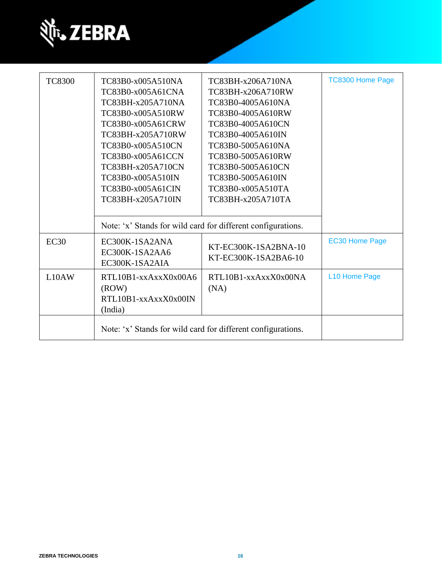

| <b>TC8300</b> | TC83B0-x005A510NA<br>TC83B0-x005A61CNA<br>TC83BH-x205A710NA<br>TC83B0-x005A510RW<br>TC83B0-x005A61CRW<br>TC83BH-x205A710RW<br>TC83B0-x005A510CN<br>TC83B0-x005A61CCN<br>TC83BH-x205A710CN<br>TC83B0-x005A510IN<br>TC83B0-x005A61CIN<br>TC83BH-x205A710IN | TC83BH-x206A710NA<br>TC83BH-x206A710RW<br>TC83B0-4005A610NA<br>TC83B0-4005A610RW<br>TC83B0-4005A610CN<br>TC83B0-4005A610IN<br>TC83B0-5005A610NA<br>TC83B0-5005A610RW<br>TC83B0-5005A610CN<br>TC83B0-5005A610IN<br>TC83B0-x005A510TA<br>TC83BH-x205A710TA | <b>TC8300 Home Page</b> |
|---------------|----------------------------------------------------------------------------------------------------------------------------------------------------------------------------------------------------------------------------------------------------------|----------------------------------------------------------------------------------------------------------------------------------------------------------------------------------------------------------------------------------------------------------|-------------------------|
|               |                                                                                                                                                                                                                                                          | Note: 'x' Stands for wild card for different configurations.                                                                                                                                                                                             |                         |
| EC30          | EC300K-1SA2ANA<br>EC300K-1SA2AA6<br>EC300K-1SA2AIA                                                                                                                                                                                                       | KT-EC300K-1SA2BNA-10<br>KT-EC300K-1SA2BA6-10                                                                                                                                                                                                             | <b>EC30 Home Page</b>   |
| L10AW         | RTL10B1-xxAxxX0x00A6<br>(ROW)<br>RTL10B1-xxAxxX0x00IN<br>(India)                                                                                                                                                                                         | $RTL10B1 - xxAxxX0x00NA$<br>(NA)                                                                                                                                                                                                                         | L10 Home Page           |
|               |                                                                                                                                                                                                                                                          | Note: 'x' Stands for wild card for different configurations.                                                                                                                                                                                             |                         |